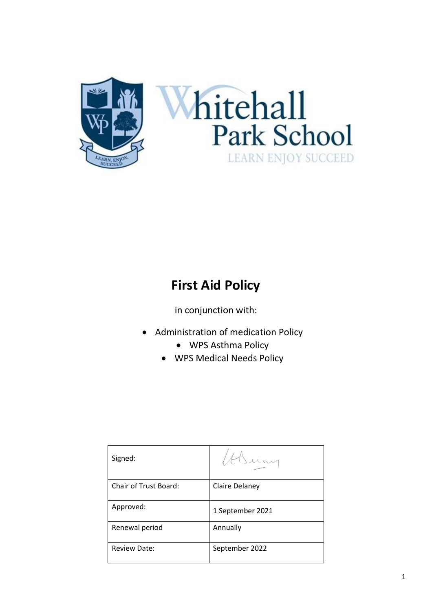

# **First Aid Policy**

in conjunction with:

- Administration of medication Policy
	- WPS Asthma Policy
	- WPS Medical Needs Policy

| Signed:               |                  |
|-----------------------|------------------|
| Chair of Trust Board: | Claire Delaney   |
| Approved:             | 1 September 2021 |
| Renewal period        | Annually         |
| <b>Review Date:</b>   | September 2022   |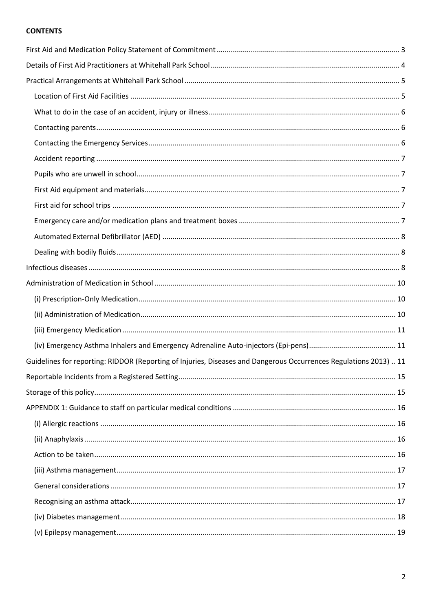#### **CONTENTS**

| Guidelines for reporting: RIDDOR (Reporting of Injuries, Diseases and Dangerous Occurrences Regulations 2013)  11 |  |
|-------------------------------------------------------------------------------------------------------------------|--|
|                                                                                                                   |  |
|                                                                                                                   |  |
|                                                                                                                   |  |
|                                                                                                                   |  |
|                                                                                                                   |  |
|                                                                                                                   |  |
|                                                                                                                   |  |
|                                                                                                                   |  |
|                                                                                                                   |  |
|                                                                                                                   |  |
|                                                                                                                   |  |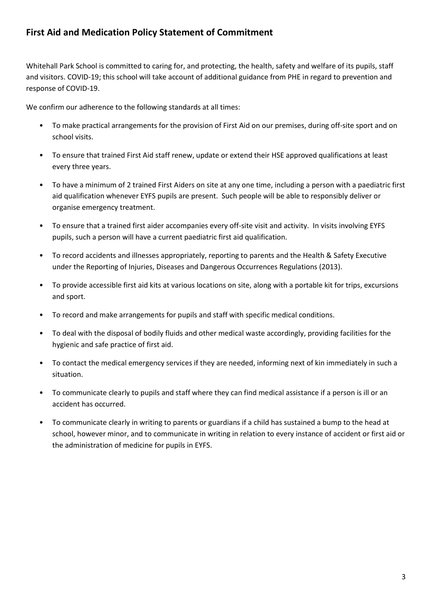## <span id="page-2-0"></span>**First Aid and Medication Policy Statement of Commitment**

Whitehall Park School is committed to caring for, and protecting, the health, safety and welfare of its pupils, staff and visitors. COVID-19; this school will take account of additional guidance from PHE in regard to prevention and response of COVID-19.

We confirm our adherence to the following standards at all times:

- To make practical arrangements for the provision of First Aid on our premises, during off-site sport and on school visits.
- To ensure that trained First Aid staff renew, update or extend their HSE approved qualifications at least every three years.
- To have a minimum of 2 trained First Aiders on site at any one time, including a person with a paediatric first aid qualification whenever EYFS pupils are present. Such people will be able to responsibly deliver or organise emergency treatment.
- To ensure that a trained first aider accompanies every off-site visit and activity. In visits involving EYFS pupils, such a person will have a current paediatric first aid qualification.
- To record accidents and illnesses appropriately, reporting to parents and the Health & Safety Executive under the Reporting of Injuries, Diseases and Dangerous Occurrences Regulations (2013).
- To provide accessible first aid kits at various locations on site, along with a portable kit for trips, excursions and sport.
- To record and make arrangements for pupils and staff with specific medical conditions.
- To deal with the disposal of bodily fluids and other medical waste accordingly, providing facilities for the hygienic and safe practice of first aid.
- To contact the medical emergency services if they are needed, informing next of kin immediately in such a situation.
- To communicate clearly to pupils and staff where they can find medical assistance if a person is ill or an accident has occurred.
- <span id="page-2-1"></span>• To communicate clearly in writing to parents or guardians if a child has sustained a bump to the head at school, however minor, and to communicate in writing in relation to every instance of accident or first aid or the administration of medicine for pupils in EYFS.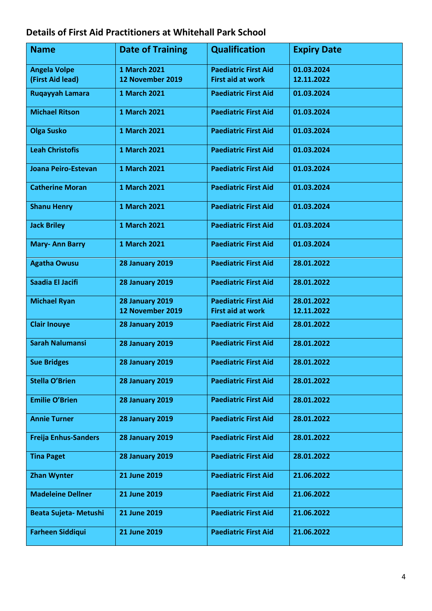# **Details of First Aid Practitioners at Whitehall Park School**

| <b>Name</b>                 | <b>Date of Training</b> | <b>Qualification</b>        | <b>Expiry Date</b> |
|-----------------------------|-------------------------|-----------------------------|--------------------|
| <b>Angela Volpe</b>         | 1 March 2021            | <b>Paediatric First Aid</b> | 01.03.2024         |
| (First Aid lead)            | 12 November 2019        | <b>First aid at work</b>    | 12.11.2022         |
| Ruqayyah Lamara             | 1 March 2021            | <b>Paediatric First Aid</b> | 01.03.2024         |
| <b>Michael Ritson</b>       | 1 March 2021            | <b>Paediatric First Aid</b> | 01.03.2024         |
| <b>Olga Susko</b>           | <b>1 March 2021</b>     | <b>Paediatric First Aid</b> | 01.03.2024         |
| <b>Leah Christofis</b>      | 1 March 2021            | <b>Paediatric First Aid</b> | 01.03.2024         |
| Joana Peiro-Estevan         | 1 March 2021            | <b>Paediatric First Aid</b> | 01.03.2024         |
| <b>Catherine Moran</b>      | 1 March 2021            | <b>Paediatric First Aid</b> | 01.03.2024         |
| <b>Shanu Henry</b>          | 1 March 2021            | <b>Paediatric First Aid</b> | 01.03.2024         |
| <b>Jack Briley</b>          | 1 March 2021            | <b>Paediatric First Aid</b> | 01.03.2024         |
| <b>Mary-Ann Barry</b>       | 1 March 2021            | <b>Paediatric First Aid</b> | 01.03.2024         |
| <b>Agatha Owusu</b>         | <b>28 January 2019</b>  | <b>Paediatric First Aid</b> | 28.01.2022         |
| Saadia El Jacifi            | <b>28 January 2019</b>  | <b>Paediatric First Aid</b> | 28.01.2022         |
| <b>Michael Ryan</b>         | <b>28 January 2019</b>  | <b>Paediatric First Aid</b> | 28.01.2022         |
|                             | 12 November 2019        | <b>First aid at work</b>    | 12.11.2022         |
| <b>Clair Inouye</b>         | <b>28 January 2019</b>  | <b>Paediatric First Aid</b> | 28.01.2022         |
| <b>Sarah Nalumansi</b>      | <b>28 January 2019</b>  | <b>Paediatric First Aid</b> | 28.01.2022         |
| <b>Sue Bridges</b>          | <b>28 January 2019</b>  | <b>Paediatric First Aid</b> | 28.01.2022         |
| <b>Stella O'Brien</b>       | <b>28 January 2019</b>  | <b>Paediatric First Aid</b> | 28.01.2022         |
| <b>Emilie O'Brien</b>       | <b>28 January 2019</b>  | <b>Paediatric First Aid</b> | 28.01.2022         |
| <b>Annie Turner</b>         | <b>28 January 2019</b>  | <b>Paediatric First Aid</b> | 28.01.2022         |
| <b>Freija Enhus-Sanders</b> | <b>28 January 2019</b>  | <b>Paediatric First Aid</b> | 28.01.2022         |
| <b>Tina Paget</b>           | <b>28 January 2019</b>  | <b>Paediatric First Aid</b> | 28.01.2022         |
| <b>Zhan Wynter</b>          | <b>21 June 2019</b>     | <b>Paediatric First Aid</b> | 21.06.2022         |
| <b>Madeleine Dellner</b>    | <b>21 June 2019</b>     | <b>Paediatric First Aid</b> | 21.06.2022         |
| Beata Sujeta- Metushi       | 21 June 2019            | <b>Paediatric First Aid</b> | 21.06.2022         |
| <b>Farheen Siddiqui</b>     | <b>21 June 2019</b>     | <b>Paediatric First Aid</b> | 21.06.2022         |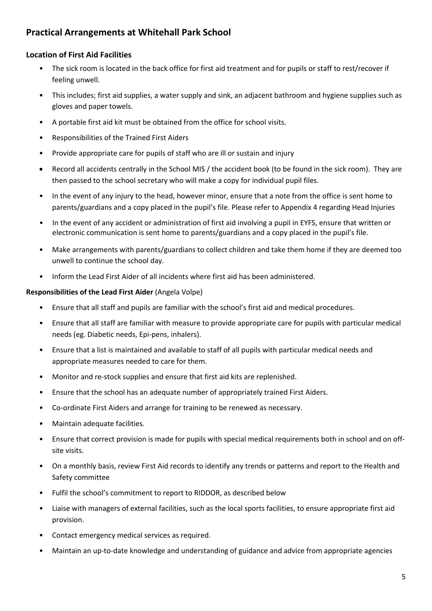# <span id="page-4-0"></span>**Practical Arrangements at Whitehall Park School**

## <span id="page-4-1"></span>**Location of First Aid Facilities**

- The sick room is located in the back office for first aid treatment and for pupils or staff to rest/recover if feeling unwell.
- This includes; first aid supplies, a water supply and sink, an adjacent bathroom and hygiene supplies such as gloves and paper towels.
- A portable first aid kit must be obtained from the office for school visits.
- Responsibilities of the Trained First Aiders
- Provide appropriate care for pupils of staff who are ill or sustain and injury
- Record all accidents centrally in the School MIS / the accident book (to be found in the sick room). They are then passed to the school secretary who will make a copy for individual pupil files.
- In the event of any injury to the head, however minor, ensure that a note from the office is sent home to parents/guardians and a copy placed in the pupil's file. Please refer to Appendix 4 regarding Head Injuries
- In the event of any accident or administration of first aid involving a pupil in EYFS, ensure that written or electronic communication is sent home to parents/guardians and a copy placed in the pupil's file.
- Make arrangements with parents/guardians to collect children and take them home if they are deemed too unwell to continue the school day.
- Inform the Lead First Aider of all incidents where first aid has been administered.

#### **Responsibilities of the Lead First Aider** (Angela Volpe)

- Ensure that all staff and pupils are familiar with the school's first aid and medical procedures.
- Ensure that all staff are familiar with measure to provide appropriate care for pupils with particular medical needs (eg. Diabetic needs, Epi-pens, inhalers).
- Ensure that a list is maintained and available to staff of all pupils with particular medical needs and appropriate measures needed to care for them.
- Monitor and re-stock supplies and ensure that first aid kits are replenished.
- Ensure that the school has an adequate number of appropriately trained First Aiders.
- Co-ordinate First Aiders and arrange for training to be renewed as necessary.
- Maintain adequate facilities.
- Ensure that correct provision is made for pupils with special medical requirements both in school and on offsite visits.
- On a monthly basis, review First Aid records to identify any trends or patterns and report to the Health and Safety committee
- Fulfil the school's commitment to report to RIDDOR, as described below
- Liaise with managers of external facilities, such as the local sports facilities, to ensure appropriate first aid provision.
- Contact emergency medical services as required.
- Maintain an up-to-date knowledge and understanding of guidance and advice from appropriate agencies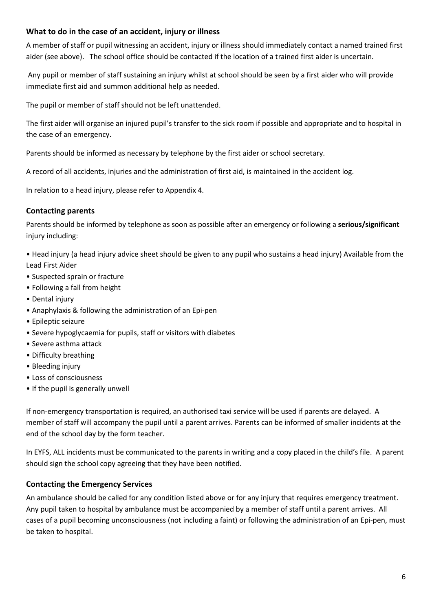### <span id="page-5-0"></span>**What to do in the case of an accident, injury or illness**

A member of staff or pupil witnessing an accident, injury or illness should immediately contact a named trained first aider (see above). The school office should be contacted if the location of a trained first aider is uncertain.

Any pupil or member of staff sustaining an injury whilst at school should be seen by a first aider who will provide immediate first aid and summon additional help as needed.

The pupil or member of staff should not be left unattended.

The first aider will organise an injured pupil's transfer to the sick room if possible and appropriate and to hospital in the case of an emergency.

Parents should be informed as necessary by telephone by the first aider or school secretary.

A record of all accidents, injuries and the administration of first aid, is maintained in the accident log.

In relation to a head injury, please refer to Appendix 4.

### <span id="page-5-1"></span>**Contacting parents**

Parents should be informed by telephone as soon as possible after an emergency or following a **serious/significant** injury including:

• Head injury (a head injury advice sheet should be given to any pupil who sustains a head injury) Available from the Lead First Aider

- Suspected sprain or fracture
- Following a fall from height
- Dental injury
- Anaphylaxis & following the administration of an Epi-pen
- Epileptic seizure
- Severe hypoglycaemia for pupils, staff or visitors with diabetes
- Severe asthma attack
- Difficulty breathing
- Bleeding injury
- Loss of consciousness
- If the pupil is generally unwell

If non-emergency transportation is required, an authorised taxi service will be used if parents are delayed. A member of staff will accompany the pupil until a parent arrives. Parents can be informed of smaller incidents at the end of the school day by the form teacher.

In EYFS, ALL incidents must be communicated to the parents in writing and a copy placed in the child's file. A parent should sign the school copy agreeing that they have been notified.

#### <span id="page-5-2"></span>**Contacting the Emergency Services**

An ambulance should be called for any condition listed above or for any injury that requires emergency treatment. Any pupil taken to hospital by ambulance must be accompanied by a member of staff until a parent arrives. All cases of a pupil becoming unconsciousness (not including a faint) or following the administration of an Epi-pen, must be taken to hospital.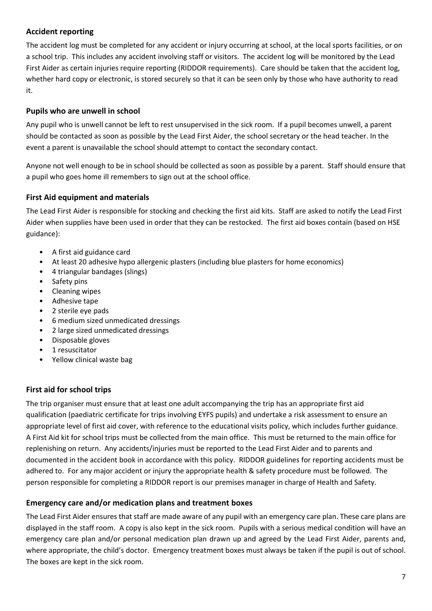## <span id="page-6-0"></span>**Accident reporting**

The accident log must be completed for any accident or injury occurring at school, at the local sports facilities, or on a school trip. This includes any accident involving staff or visitors. The accident log will be monitored by the Lead First Aider as certain injuries require reporting (RIDDOR requirements). Care should be taken that the accident log, whether hard copy or electronic, is stored securely so that it can be seen only by those who have authority to read it.

## <span id="page-6-1"></span>**Pupils who are unwell in school**

Any pupil who is unwell cannot be left to rest unsupervised in the sick room. If a pupil becomes unwell, a parent should be contacted as soon as possible by the Lead First Aider, the school secretary or the head teacher. In the event a parent is unavailable the school should attempt to contact the secondary contact.

Anyone not well enough to be in school should be collected as soon as possible by a parent. Staff should ensure that a pupil who goes home ill remembers to sign out at the school office.

## <span id="page-6-2"></span>**First Aid equipment and materials**

The Lead First Aider is responsible for stocking and checking the first aid kits. Staff are asked to notify the Lead First Aider when supplies have been used in order that they can be restocked. The first aid boxes contain (based on HSE guidance):

- A first aid guidance card
- At least 20 adhesive hypo allergenic plasters (including blue plasters for home economics)
- 4 triangular bandages (slings)
- Safety pins
- Cleaning wipes
- Adhesive tape
- 2 sterile eye pads
- 6 medium sized unmedicated dressings
- 2 large sized unmedicated dressings
- Disposable gloves
- 1 resuscitator
- Yellow clinical waste bag

## <span id="page-6-3"></span>**First aid for school trips**

The trip organiser must ensure that at least one adult accompanying the trip has an appropriate first aid qualification (paediatric certificate for trips involving EYFS pupils) and undertake a risk assessment to ensure an appropriate level of first aid cover, with reference to the educational visits policy, which includes further guidance. A First Aid kit for school trips must be collected from the main office. This must be returned to the main office for replenishing on return. Any accidents/injuries must be reported to the Lead First Aider and to parents and documented in the accident book in accordance with this policy. RIDDOR guidelines for reporting accidents must be adhered to. For any major accident or injury the appropriate health & safety procedure must be followed. The person responsible for completing a RIDDOR report is our premises manager in charge of Health and Safety.

## <span id="page-6-4"></span>**Emergency care and/or medication plans and treatment boxes**

The Lead First Aider ensures that staff are made aware of any pupil with an emergency care plan. These care plans are displayed in the staff room. A copy is also kept in the sick room. Pupils with a serious medical condition will have an emergency care plan and/or personal medication plan drawn up and agreed by the Lead First Aider, parents and, where appropriate, the child's doctor. Emergency treatment boxes must always be taken if the pupil is out of school. The boxes are kept in the sick room.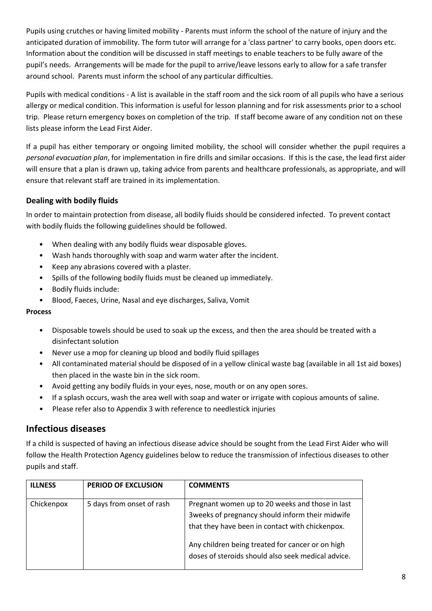Pupils using crutches or having limited mobility - Parents must inform the school of the nature of injury and the anticipated duration of immobility. The form tutor will arrange for a 'class partner' to carry books, open doors etc. Information about the condition will be discussed in staff meetings to enable teachers to be fully aware of the pupil's needs. Arrangements will be made for the pupil to arrive/leave lessons early to allow for a safe transfer around school. Parents must inform the school of any particular difficulties.

Pupils with medical conditions - A list is available in the staff room and the sick room of all pupils who have a serious allergy or medical condition. This information is useful for lesson planning and for risk assessments prior to a school trip. Please return emergency boxes on completion of the trip. If staff become aware of any condition not on these lists please inform the Lead First Aider.

If a pupil has either temporary or ongoing limited mobility, the school will consider whether the pupil requires a *personal evacuation plan*, for implementation in fire drills and similar occasions. If this is the case, the lead first aider will ensure that a plan is drawn up, taking advice from parents and healthcare professionals, as appropriate, and will ensure that relevant staff are trained in its implementation.

## <span id="page-7-0"></span>**Dealing with bodily fluids**

In order to maintain protection from disease, all bodily fluids should be considered infected. To prevent contact with bodily fluids the following guidelines should be followed.

- When dealing with any bodily fluids wear disposable gloves.
- Wash hands thoroughly with soap and warm water after the incident.
- Keep any abrasions covered with a plaster.
- Spills of the following bodily fluids must be cleaned up immediately.
- Bodily fluids include:
- Blood, Faeces, Urine, Nasal and eye discharges, Saliva, Vomit

#### **Process**

- Disposable towels should be used to soak up the excess, and then the area should be treated with a disinfectant solution
- Never use a mop for cleaning up blood and bodily fluid spillages
- All contaminated material should be disposed of in a yellow clinical waste bag (available in all 1st aid boxes) then placed in the waste bin in the sick room.
- Avoid getting any bodily fluids in your eyes, nose, mouth or on any open sores.
- If a splash occurs, wash the area well with soap and water or irrigate with copious amounts of saline.
- Please refer also to Appendix 3 with reference to needlestick injuries

## <span id="page-7-1"></span>**Infectious diseases**

If a child is suspected of having an infectious disease advice should be sought from the Lead First Aider who will follow the Health Protection Agency guidelines below to reduce the transmission of infectious diseases to other pupils and staff.

| <b>ILLNESS</b> | <b>PERIOD OF EXCLUSION</b> | <b>COMMENTS</b>                                                                                                                                                                                                                                                  |
|----------------|----------------------------|------------------------------------------------------------------------------------------------------------------------------------------------------------------------------------------------------------------------------------------------------------------|
| Chickenpox     | 5 days from onset of rash  | Pregnant women up to 20 weeks and those in last<br>3 weeks of pregnancy should inform their midwife<br>that they have been in contact with chickenpox.<br>Any children being treated for cancer or on high<br>doses of steroids should also seek medical advice. |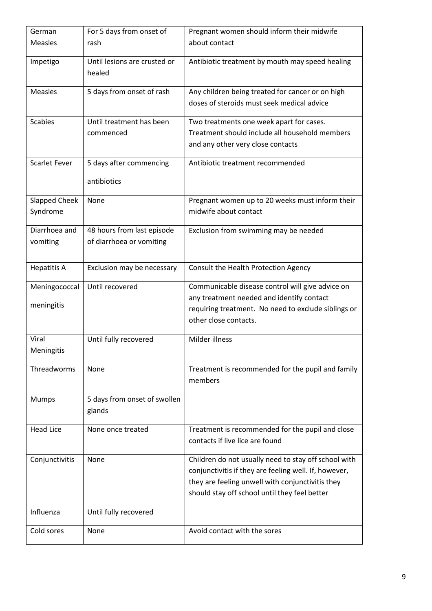| German                      | For 5 days from onset of                               | Pregnant women should inform their midwife                                                                                                                                                                         |
|-----------------------------|--------------------------------------------------------|--------------------------------------------------------------------------------------------------------------------------------------------------------------------------------------------------------------------|
| <b>Measles</b>              | rash                                                   | about contact                                                                                                                                                                                                      |
| Impetigo                    | Until lesions are crusted or<br>healed                 | Antibiotic treatment by mouth may speed healing                                                                                                                                                                    |
| Measles                     | 5 days from onset of rash                              | Any children being treated for cancer or on high<br>doses of steroids must seek medical advice                                                                                                                     |
| <b>Scabies</b>              | Until treatment has been<br>commenced                  | Two treatments one week apart for cases.<br>Treatment should include all household members<br>and any other very close contacts                                                                                    |
| <b>Scarlet Fever</b>        | 5 days after commencing<br>antibiotics                 | Antibiotic treatment recommended                                                                                                                                                                                   |
| Slapped Cheek<br>Syndrome   | None                                                   | Pregnant women up to 20 weeks must inform their<br>midwife about contact                                                                                                                                           |
| Diarrhoea and<br>vomiting   | 48 hours from last episode<br>of diarrhoea or vomiting | Exclusion from swimming may be needed                                                                                                                                                                              |
| <b>Hepatitis A</b>          | Exclusion may be necessary                             | Consult the Health Protection Agency                                                                                                                                                                               |
| Meningococcal<br>meningitis | Until recovered                                        | Communicable disease control will give advice on<br>any treatment needed and identify contact<br>requiring treatment. No need to exclude siblings or<br>other close contacts.                                      |
| Viral<br>Meningitis         | Until fully recovered                                  | Milder illness                                                                                                                                                                                                     |
| Threadworms                 | None                                                   | Treatment is recommended for the pupil and family<br>members                                                                                                                                                       |
| Mumps                       | 5 days from onset of swollen<br>glands                 |                                                                                                                                                                                                                    |
| <b>Head Lice</b>            | None once treated                                      | Treatment is recommended for the pupil and close<br>contacts if live lice are found                                                                                                                                |
| Conjunctivitis              | None                                                   | Children do not usually need to stay off school with<br>conjunctivitis if they are feeling well. If, however,<br>they are feeling unwell with conjunctivitis they<br>should stay off school until they feel better |
| Influenza                   | Until fully recovered                                  |                                                                                                                                                                                                                    |
| Cold sores                  | None                                                   | Avoid contact with the sores                                                                                                                                                                                       |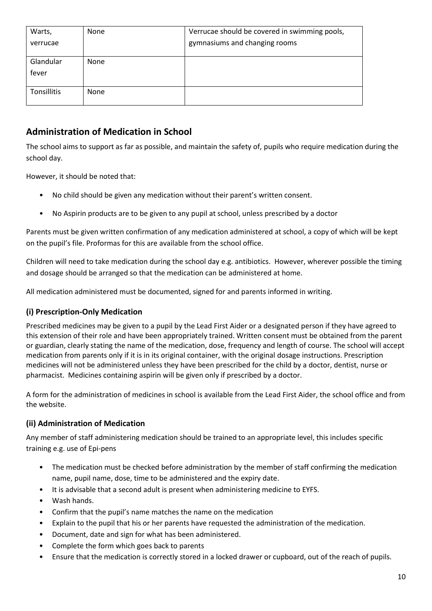| Warts,             | None | Verrucae should be covered in swimming pools, |
|--------------------|------|-----------------------------------------------|
| verrucae           |      | gymnasiums and changing rooms                 |
| Glandular<br>fever | None |                                               |
| Tonsillitis        | None |                                               |

# <span id="page-9-0"></span>**Administration of Medication in School**

The school aims to support as far as possible, and maintain the safety of, pupils who require medication during the school day.

However, it should be noted that:

- No child should be given any medication without their parent's written consent.
- No Aspirin products are to be given to any pupil at school, unless prescribed by a doctor

Parents must be given written confirmation of any medication administered at school, a copy of which will be kept on the pupil's file. Proformas for this are available from the school office.

Children will need to take medication during the school day e.g. antibiotics. However, wherever possible the timing and dosage should be arranged so that the medication can be administered at home.

All medication administered must be documented, signed for and parents informed in writing.

## <span id="page-9-1"></span>**(i) Prescription-Only Medication**

Prescribed medicines may be given to a pupil by the Lead First Aider or a designated person if they have agreed to this extension of their role and have been appropriately trained. Written consent must be obtained from the parent or guardian, clearly stating the name of the medication, dose, frequency and length of course. The school will accept medication from parents only if it is in its original container, with the original dosage instructions. Prescription medicines will not be administered unless they have been prescribed for the child by a doctor, dentist, nurse or pharmacist. Medicines containing aspirin will be given only if prescribed by a doctor.

A form for the administration of medicines in school is available from the Lead First Aider, the school office and from the website.

## <span id="page-9-2"></span>**(ii) Administration of Medication**

Any member of staff administering medication should be trained to an appropriate level, this includes specific training e.g. use of Epi-pens

- The medication must be checked before administration by the member of staff confirming the medication name, pupil name, dose, time to be administered and the expiry date.
- It is advisable that a second adult is present when administering medicine to EYFS.
- Wash hands.
- Confirm that the pupil's name matches the name on the medication
- Explain to the pupil that his or her parents have requested the administration of the medication.
- Document, date and sign for what has been administered.
- Complete the form which goes back to parents
- Ensure that the medication is correctly stored in a locked drawer or cupboard, out of the reach of pupils.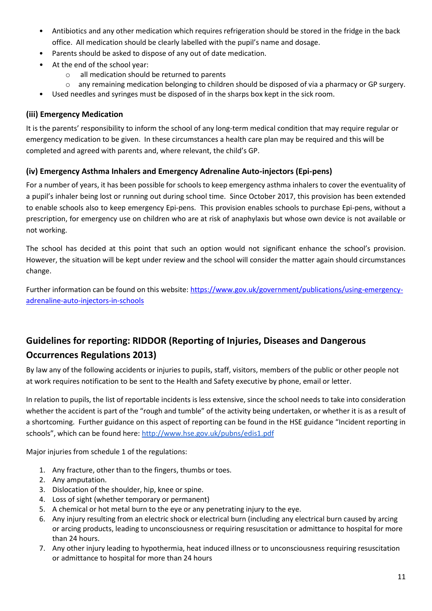- Antibiotics and any other medication which requires refrigeration should be stored in the fridge in the back office. All medication should be clearly labelled with the pupil's name and dosage.
- Parents should be asked to dispose of any out of date medication.
- At the end of the school year:
	- o all medication should be returned to parents
	- $\circ$  any remaining medication belonging to children should be disposed of via a pharmacy or GP surgery.
- Used needles and syringes must be disposed of in the sharps box kept in the sick room.

## <span id="page-10-0"></span>**(iii) Emergency Medication**

It is the parents' responsibility to inform the school of any long-term medical condition that may require regular or emergency medication to be given. In these circumstances a health care plan may be required and this will be completed and agreed with parents and, where relevant, the child's GP.

## <span id="page-10-1"></span>**(iv) Emergency Asthma Inhalers and Emergency Adrenaline Auto-injectors (Epi-pens)**

For a number of years, it has been possible for schools to keep emergency asthma inhalers to cover the eventuality of a pupil's inhaler being lost or running out during school time. Since October 2017, this provision has been extended to enable schools also to keep emergency Epi-pens. This provision enables schools to purchase Epi-pens, without a prescription, for emergency use on children who are at risk of anaphylaxis but whose own device is not available or not working.

The school has decided at this point that such an option would not significant enhance the school's provision. However, the situation will be kept under review and the school will consider the matter again should circumstances change.

Further information can be found on this website: [https://www.gov.uk/government/publications/using-emergency](https://www.gov.uk/government/publications/using-emergency-adrenaline-auto-injectors-in-schools)[adrenaline-auto-injectors-in-schools](https://www.gov.uk/government/publications/using-emergency-adrenaline-auto-injectors-in-schools)

# <span id="page-10-2"></span>**Guidelines for reporting: RIDDOR (Reporting of Injuries, Diseases and Dangerous Occurrences Regulations 2013)**

By law any of the following accidents or injuries to pupils, staff, visitors, members of the public or other people not at work requires notification to be sent to the Health and Safety executive by phone, email or letter.

In relation to pupils, the list of reportable incidents is less extensive, since the school needs to take into consideration whether the accident is part of the "rough and tumble" of the activity being undertaken, or whether it is as a result of a shortcoming. Further guidance on this aspect of reporting can be found in the HSE guidance "Incident reporting in schools", which can be found here: <http://www.hse.gov.uk/pubns/edis1.pdf>

Major injuries from schedule 1 of the regulations:

- 1. Any fracture, other than to the fingers, thumbs or toes.
- 2. Any amputation.
- 3. Dislocation of the shoulder, hip, knee or spine.
- 4. Loss of sight (whether temporary or permanent)
- 5. A chemical or hot metal burn to the eye or any penetrating injury to the eye.
- 6. Any injury resulting from an electric shock or electrical burn (including any electrical burn caused by arcing or arcing products, leading to unconsciousness or requiring resuscitation or admittance to hospital for more than 24 hours.
- 7. Any other injury leading to hypothermia, heat induced illness or to unconsciousness requiring resuscitation or admittance to hospital for more than 24 hours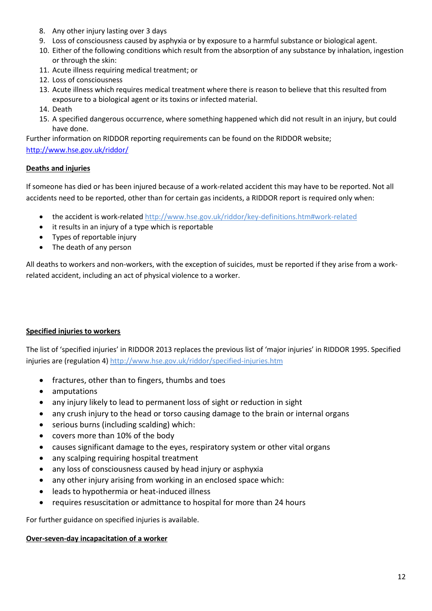- 8. Any other injury lasting over 3 days
- 9. Loss of consciousness caused by asphyxia or by exposure to a harmful substance or biological agent.
- 10. Either of the following conditions which result from the absorption of any substance by inhalation, ingestion or through the skin:
- 11. Acute illness requiring medical treatment; or
- 12. Loss of consciousness
- 13. Acute illness which requires medical treatment where there is reason to believe that this resulted from exposure to a biological agent or its toxins or infected material.
- 14. Death
- 15. A specified dangerous occurrence, where something happened which did not result in an injury, but could have done.

Further information on RIDDOR reporting requirements can be found on the RIDDOR website;

#### <http://www.hse.gov.uk/riddor/>

### **Deaths and injuries**

If someone has died or has been injured because of a work-related accident this may have to be reported. Not all accidents need to be reported, other than for certain [gas incidents,](http://www.hse.gov.uk/riddor/reportable-incidents.htm#gas) a RIDDOR report is required only when:

- the accident is [work-related](http://www.hse.gov.uk/riddor/key-definitions.htm#work-related) <http://www.hse.gov.uk/riddor/key-definitions.htm#work-related>
- it results in an injury of a type which is reportable
- Types of reportable injury
- The death of any person

All deaths to workers and non-workers, with the exception of suicides, must be reported if they arise from a workrelated accident, including an act of physical violence to a worker.

#### **Specified injuries to workers**

The list of 'specified injuries' in RIDDOR 2013 replaces the previous list of 'major injuries' in RIDDOR 1995. Specified injuries are (regulation 4) <http://www.hse.gov.uk/riddor/specified-injuries.htm>

- fractures, other than to fingers, thumbs and toes
- amputations
- any injury likely to lead to permanent loss of sight or reduction in sight
- any crush injury to the head or torso causing damage to the brain or internal organs
- serious burns (including scalding) which:
- covers more than 10% of the body
- causes significant damage to the eyes, respiratory system or other vital organs
- any scalping requiring hospital treatment
- any loss of consciousness caused by head injury or asphyxia
- any other injury arising from working in an enclosed space which:
- leads to hypothermia or heat-induced illness
- requires resuscitation or admittance to hospital for more than 24 hours

For further guidance on [specified injuries](http://www.hse.gov.uk/riddor/specified-injuries.htm) is available.

#### **Over-seven-day incapacitation of a worker**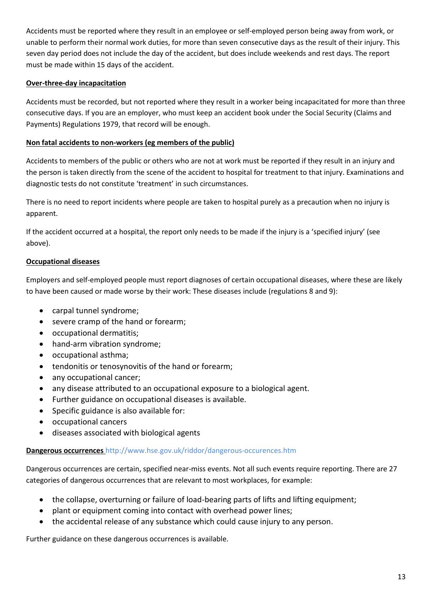Accidents must be reported where they result in an employee or self-employed person being away from work, or unable to perform their normal work duties, for more than seven consecutive days as the result of their injury. This seven day period does not include the day of the accident, but does include weekends and rest days. The report must be made within 15 days of the accident.

#### **Over-three-day incapacitation**

Accidents must be recorded, but not reported where they result in a worker being incapacitated for more than three consecutive days. If you are an employer, who must keep an accident book under the Social Security (Claims and Payments) Regulations 1979, that record will be enough.

### **Non fatal accidents to non-workers (eg members of the public)**

Accidents to members of the public or others who are not at work must be reported if they result in an injury and the person is taken directly from the scene of the accident to hospital for treatment to that injury. Examinations and diagnostic tests do not constitute 'treatment' in such circumstances.

There is no need to report incidents where people are taken to hospital purely as a precaution when no injury is apparent.

If the accident occurred at a hospital, the report only needs to be made if the injury is a '[specified injury](http://www.hse.gov.uk/riddor/reportable-incidents.htm#specified)' (see above).

### **Occupational diseases**

Employers and self-employed people must report diagnoses of certain occupational diseases, where these are likely to have been caused or made worse by their work: These diseases include (regulations 8 and 9):

- carpal tunnel syndrome;
- severe cramp of the hand or forearm;
- occupational dermatitis;
- hand-arm vibration syndrome;
- occupational asthma;
- tendonitis or tenosynovitis of the hand or forearm;
- any occupational cancer;
- any disease attributed to an occupational exposure to a biological agent.
- Further guidance on [occupational diseases](http://www.hse.gov.uk/riddor/occupational-diseases.htm) is available.
- Specific guidance is also available for:
- [occupational cancers](http://www.hse.gov.uk/riddor/carcinogens.htm)
- [diseases associated with biological agents](http://www.hse.gov.uk/riddor/carcinogens.htm#agents)

#### **Dangerous occurrences** <http://www.hse.gov.uk/riddor/dangerous-occurences.htm>

Dangerous occurrences are certain, specified near-miss events. Not all such events require reporting. There are 27 categories of dangerous occurrences that are relevant to most workplaces, for example:

- the collapse, overturning or failure of load-bearing parts of lifts and lifting equipment;
- plant or equipment coming into contact with overhead power lines;
- the accidental release of any substance which could cause injury to any person.

Further guidance on these [dangerous occurrences](http://www.hse.gov.uk/riddor/dangerous-occurences.htm) is available.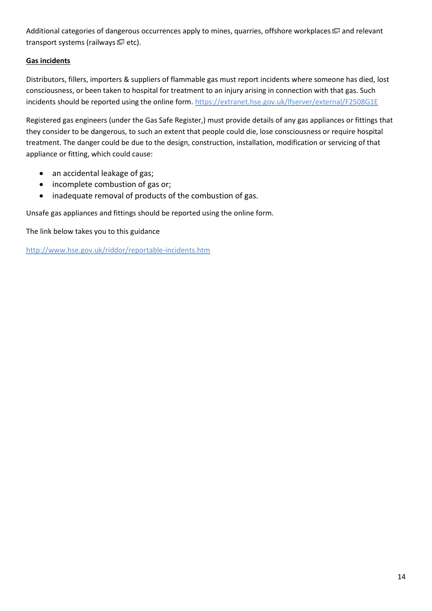Additional categories of dangerous occurrences apply to [mines, quarries, offshore workplaces](http://www.legislation.gov.uk/uksi/2013/1471/regulation/13/made)  $\Box$  and relevant transport systems [\(railways](http://www.rail-reg.gov.uk/)  $\blacksquare$  etc).

## **Gas incidents**

Distributors, fillers, importers & suppliers of flammable gas must report incidents where someone has died, lost consciousness, or been taken to hospital for treatment to an injury arising in connection with that gas. Such incidents should be reported using the [online form. https://extranet.hse.gov.uk/lfserver/external/F2508G1E](https://extranet.hse.gov.uk/lfserver/external/F2508G1E)

Registered gas engineers (under the Gas Safe Register,) must provide details of any gas appliances or fittings that they consider to be dangerous, to such an extent that people could die, lose consciousness or require hospital treatment. The danger could be due to the design, construction, installation, modification or servicing of that appliance or fitting, which could cause:

- an accidental leakage of gas;
- incomplete combustion of gas or;
- inadequate removal of products of the combustion of gas.

Unsafe gas appliances and fittings should be reported using the [online form.](https://extranet.hse.gov.uk/lfserver/external/F2508G2E)

The link below takes you to this guidance

<http://www.hse.gov.uk/riddor/reportable-incidents.htm>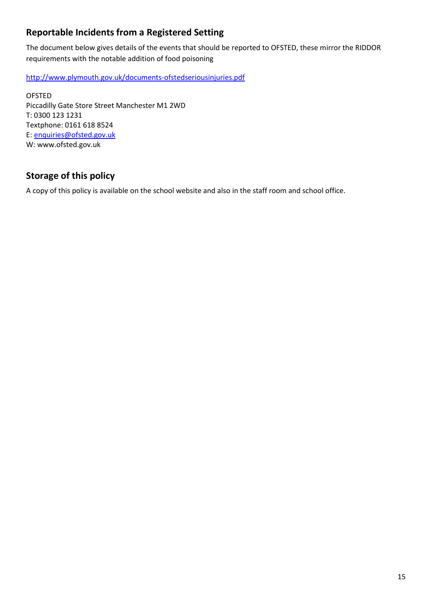# <span id="page-14-0"></span>**Reportable Incidents from a Registered Setting**

The document below gives details of the events that should be reported to OFSTED, these mirror the RIDDOR requirements with the notable addition of food poisoning

<http://www.plymouth.gov.uk/documents-ofstedseriousinjuries.pdf>

OFSTED Piccadilly Gate Store Street Manchester M1 2WD T: 0300 123 1231 Textphone: 0161 618 8524 E: [enquiries@ofsted.gov.uk](mailto:enquiries@ofsted.gov.uk) W: www.ofsted.gov.uk

# <span id="page-14-1"></span>**Storage of this policy**

A copy of this policy is available on the school website and also in the staff room and school office.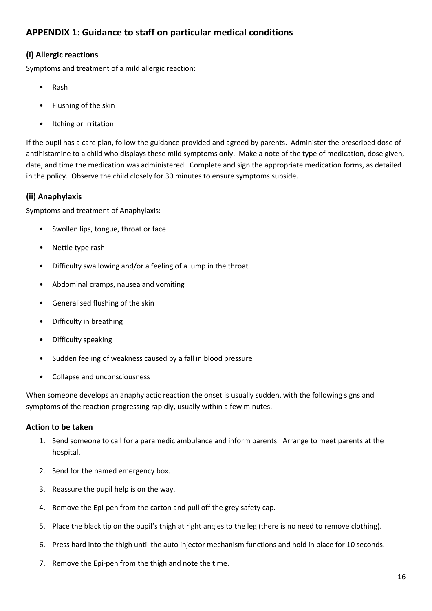## <span id="page-15-0"></span>**APPENDIX 1: Guidance to staff on particular medical conditions**

## <span id="page-15-1"></span>**(i) Allergic reactions**

Symptoms and treatment of a mild allergic reaction:

- Rash
- Flushing of the skin
- Itching or irritation

If the pupil has a care plan, follow the guidance provided and agreed by parents. Administer the prescribed dose of antihistamine to a child who displays these mild symptoms only. Make a note of the type of medication, dose given, date, and time the medication was administered. Complete and sign the appropriate medication forms, as detailed in the policy. Observe the child closely for 30 minutes to ensure symptoms subside.

## <span id="page-15-2"></span>**(ii) Anaphylaxis**

Symptoms and treatment of Anaphylaxis:

- Swollen lips, tongue, throat or face
- Nettle type rash
- Difficulty swallowing and/or a feeling of a lump in the throat
- Abdominal cramps, nausea and vomiting
- Generalised flushing of the skin
- Difficulty in breathing
- Difficulty speaking
- Sudden feeling of weakness caused by a fall in blood pressure
- Collapse and unconsciousness

When someone develops an anaphylactic reaction the onset is usually sudden, with the following signs and symptoms of the reaction progressing rapidly, usually within a few minutes.

## <span id="page-15-3"></span>**Action to be taken**

- 1. Send someone to call for a paramedic ambulance and inform parents. Arrange to meet parents at the hospital.
- 2. Send for the named emergency box.
- 3. Reassure the pupil help is on the way.
- 4. Remove the Epi-pen from the carton and pull off the grey safety cap.
- 5. Place the black tip on the pupil's thigh at right angles to the leg (there is no need to remove clothing).
- 6. Press hard into the thigh until the auto injector mechanism functions and hold in place for 10 seconds.
- 7. Remove the Epi-pen from the thigh and note the time.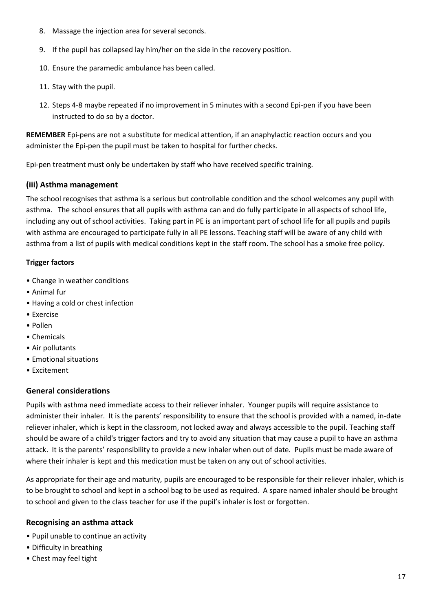- 8. Massage the injection area for several seconds.
- 9. If the pupil has collapsed lay him/her on the side in the recovery position.
- 10. Ensure the paramedic ambulance has been called.
- 11. Stay with the pupil.
- 12. Steps 4-8 maybe repeated if no improvement in 5 minutes with a second Epi-pen if you have been instructed to do so by a doctor.

**REMEMBER** Epi-pens are not a substitute for medical attention, if an anaphylactic reaction occurs and you administer the Epi-pen the pupil must be taken to hospital for further checks.

Epi-pen treatment must only be undertaken by staff who have received specific training.

### <span id="page-16-0"></span>**(iii) Asthma management**

The school recognises that asthma is a serious but controllable condition and the school welcomes any pupil with asthma. The school ensures that all pupils with asthma can and do fully participate in all aspects of school life, including any out of school activities. Taking part in PE is an important part of school life for all pupils and pupils with asthma are encouraged to participate fully in all PE lessons. Teaching staff will be aware of any child with asthma from a list of pupils with medical conditions kept in the staff room. The school has a smoke free policy.

### **Trigger factors**

- Change in weather conditions
- Animal fur
- Having a cold or chest infection
- Exercise
- Pollen
- Chemicals
- Air pollutants
- Emotional situations
- Excitement

## <span id="page-16-1"></span>**General considerations**

Pupils with asthma need immediate access to their reliever inhaler. Younger pupils will require assistance to administer their inhaler. It is the parents' responsibility to ensure that the school is provided with a named, in-date reliever inhaler, which is kept in the classroom, not locked away and always accessible to the pupil. Teaching staff should be aware of a child's trigger factors and try to avoid any situation that may cause a pupil to have an asthma attack. It is the parents' responsibility to provide a new inhaler when out of date. Pupils must be made aware of where their inhaler is kept and this medication must be taken on any out of school activities.

As appropriate for their age and maturity, pupils are encouraged to be responsible for their reliever inhaler, which is to be brought to school and kept in a school bag to be used as required. A spare named inhaler should be brought to school and given to the class teacher for use if the pupil's inhaler is lost or forgotten.

## <span id="page-16-2"></span>**Recognising an asthma attack**

- Pupil unable to continue an activity
- Difficulty in breathing
- Chest may feel tight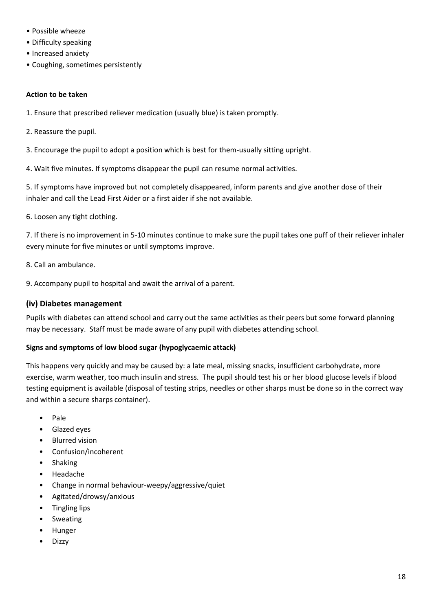- Possible wheeze
- Difficulty speaking
- Increased anxiety
- Coughing, sometimes persistently

#### **Action to be taken**

- 1. Ensure that prescribed reliever medication (usually blue) is taken promptly.
- 2. Reassure the pupil.
- 3. Encourage the pupil to adopt a position which is best for them-usually sitting upright.
- 4. Wait five minutes. If symptoms disappear the pupil can resume normal activities.

5. If symptoms have improved but not completely disappeared, inform parents and give another dose of their inhaler and call the Lead First Aider or a first aider if she not available.

6. Loosen any tight clothing.

7. If there is no improvement in 5-10 minutes continue to make sure the pupil takes one puff of their reliever inhaler every minute for five minutes or until symptoms improve.

- 8. Call an ambulance.
- 9. Accompany pupil to hospital and await the arrival of a parent.

### <span id="page-17-0"></span>**(iv) Diabetes management**

Pupils with diabetes can attend school and carry out the same activities as their peers but some forward planning may be necessary. Staff must be made aware of any pupil with diabetes attending school.

#### **Signs and symptoms of low blood sugar (hypoglycaemic attack)**

This happens very quickly and may be caused by: a late meal, missing snacks, insufficient carbohydrate, more exercise, warm weather, too much insulin and stress. The pupil should test his or her blood glucose levels if blood testing equipment is available (disposal of testing strips, needles or other sharps must be done so in the correct way and within a secure sharps container).

- Pale
- Glazed eyes
- Blurred vision
- Confusion/incoherent
- Shaking
- Headache
- Change in normal behaviour-weepy/aggressive/quiet
- Agitated/drowsy/anxious
- Tingling lips
- Sweating
- Hunger
- Dizzy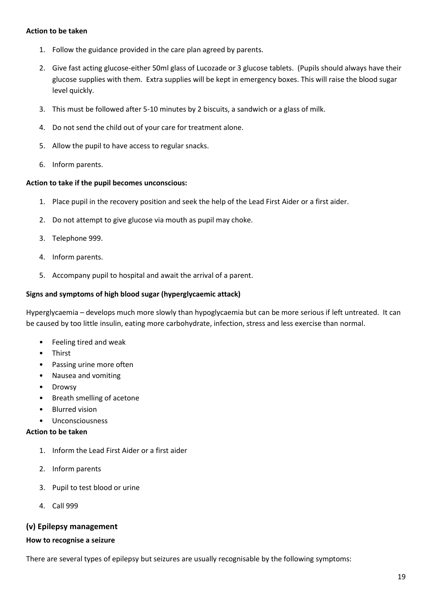#### **Action to be taken**

- 1. Follow the guidance provided in the care plan agreed by parents.
- 2. Give fast acting glucose-either 50ml glass of Lucozade or 3 glucose tablets. (Pupils should always have their glucose supplies with them. Extra supplies will be kept in emergency boxes. This will raise the blood sugar level quickly.
- 3. This must be followed after 5-10 minutes by 2 biscuits, a sandwich or a glass of milk.
- 4. Do not send the child out of your care for treatment alone.
- 5. Allow the pupil to have access to regular snacks.
- 6. Inform parents.

#### **Action to take if the pupil becomes unconscious:**

- 1. Place pupil in the recovery position and seek the help of the Lead First Aider or a first aider.
- 2. Do not attempt to give glucose via mouth as pupil may choke.
- 3. Telephone 999.
- 4. Inform parents.
- 5. Accompany pupil to hospital and await the arrival of a parent.

#### **Signs and symptoms of high blood sugar (hyperglycaemic attack)**

Hyperglycaemia – develops much more slowly than hypoglycaemia but can be more serious if left untreated. It can be caused by too little insulin, eating more carbohydrate, infection, stress and less exercise than normal.

- Feeling tired and weak
- Thirst
- Passing urine more often
- Nausea and vomiting
- **Drowsy**
- Breath smelling of acetone
- Blurred vision
- Unconsciousness

#### **Action to be taken**

- 1. Inform the Lead First Aider or a first aider
- 2. Inform parents
- 3. Pupil to test blood or urine
- 4. Call 999

#### <span id="page-18-0"></span>**(v) Epilepsy management**

#### **How to recognise a seizure**

There are several types of epilepsy but seizures are usually recognisable by the following symptoms: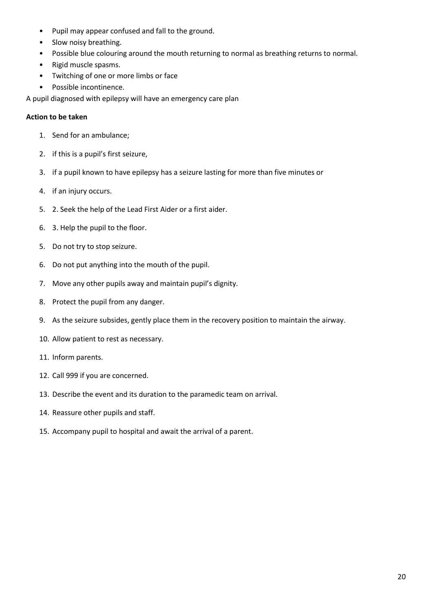- Pupil may appear confused and fall to the ground.
- Slow noisy breathing.
- Possible blue colouring around the mouth returning to normal as breathing returns to normal.
- Rigid muscle spasms.
- Twitching of one or more limbs or face
- Possible incontinence.

A pupil diagnosed with epilepsy will have an emergency care plan

#### **Action to be taken**

- 1. Send for an ambulance;
- 2. if this is a pupil's first seizure,
- 3. if a pupil known to have epilepsy has a seizure lasting for more than five minutes or
- 4. if an injury occurs.
- 5. 2. Seek the help of the Lead First Aider or a first aider.
- 6. 3. Help the pupil to the floor.
- 5. Do not try to stop seizure.
- 6. Do not put anything into the mouth of the pupil.
- 7. Move any other pupils away and maintain pupil's dignity.
- 8. Protect the pupil from any danger.
- 9. As the seizure subsides, gently place them in the recovery position to maintain the airway.
- 10. Allow patient to rest as necessary.
- 11. Inform parents.
- 12. Call 999 if you are concerned.
- 13. Describe the event and its duration to the paramedic team on arrival.
- 14. Reassure other pupils and staff.
- 15. Accompany pupil to hospital and await the arrival of a parent.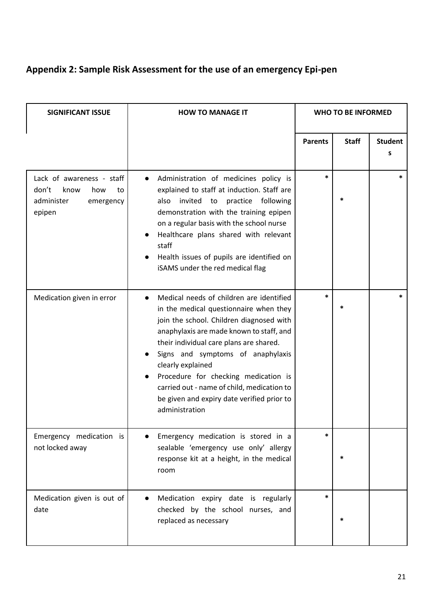# **Appendix 2: Sample Risk Assessment for the use of an emergency Epi-pen**

| <b>SIGNIFICANT ISSUE</b>                                                                     | <b>HOW TO MANAGE IT</b>                                                                                                                                                                                                                                                                                                                                                                                                               | <b>WHO TO BE INFORMED</b> |              |                     |
|----------------------------------------------------------------------------------------------|---------------------------------------------------------------------------------------------------------------------------------------------------------------------------------------------------------------------------------------------------------------------------------------------------------------------------------------------------------------------------------------------------------------------------------------|---------------------------|--------------|---------------------|
|                                                                                              |                                                                                                                                                                                                                                                                                                                                                                                                                                       | <b>Parents</b>            | <b>Staff</b> | <b>Student</b><br>s |
| Lack of awareness - staff<br>don't<br>know<br>how<br>to<br>administer<br>emergency<br>epipen | Administration of medicines policy is<br>explained to staff at induction. Staff are<br>invited to practice following<br>also<br>demonstration with the training epipen<br>on a regular basis with the school nurse<br>Healthcare plans shared with relevant<br>staff<br>Health issues of pupils are identified on<br>iSAMS under the red medical flag                                                                                 | $\ast$                    |              | *                   |
| Medication given in error                                                                    | Medical needs of children are identified<br>in the medical questionnaire when they<br>join the school. Children diagnosed with<br>anaphylaxis are made known to staff, and<br>their individual care plans are shared.<br>Signs and symptoms of anaphylaxis<br>clearly explained<br>Procedure for checking medication is<br>carried out - name of child, medication to<br>be given and expiry date verified prior to<br>administration | $\ast$                    |              |                     |
| Emergency medication is<br>not locked away                                                   | Emergency medication is stored in a<br>sealable 'emergency use only' allergy<br>response kit at a height, in the medical<br>room                                                                                                                                                                                                                                                                                                      |                           |              |                     |
| Medication given is out of<br>date                                                           | Medication expiry date is regularly<br>checked by the school nurses, and<br>replaced as necessary                                                                                                                                                                                                                                                                                                                                     | $\ast$                    |              |                     |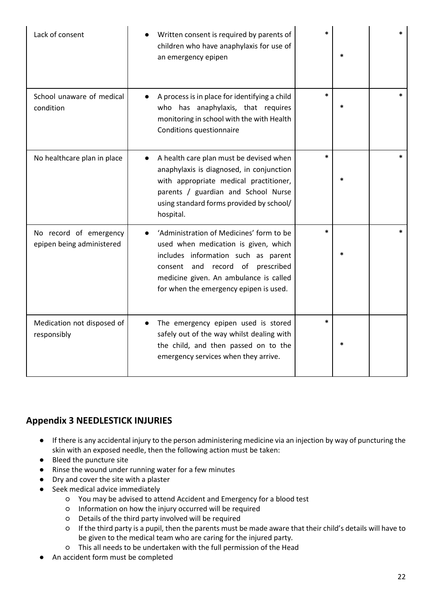| Lack of consent                                     | Written consent is required by parents of<br>children who have anaphylaxis for use of<br>an emergency epipen                                                                                                                                       |        |        |
|-----------------------------------------------------|----------------------------------------------------------------------------------------------------------------------------------------------------------------------------------------------------------------------------------------------------|--------|--------|
| School unaware of medical<br>condition              | A process is in place for identifying a child<br>who has anaphylaxis, that requires<br>monitoring in school with the with Health<br>Conditions questionnaire                                                                                       | $\ast$ | $\ast$ |
| No healthcare plan in place                         | A health care plan must be devised when<br>anaphylaxis is diagnosed, in conjunction<br>with appropriate medical practitioner,<br>parents / guardian and School Nurse<br>using standard forms provided by school/<br>hospital.                      |        |        |
| No record of emergency<br>epipen being administered | 'Administration of Medicines' form to be<br>used when medication is given, which<br>includes information such as parent<br>record of prescribed<br>consent and<br>medicine given. An ambulance is called<br>for when the emergency epipen is used. |        | $\ast$ |
| Medication not disposed of<br>responsibly           | The emergency epipen used is stored<br>safely out of the way whilst dealing with<br>the child, and then passed on to the<br>emergency services when they arrive.                                                                                   | $\ast$ |        |

# **Appendix 3 NEEDLESTICK INJURIES**

- If there is any accidental injury to the person administering medicine via an injection by way of puncturing the skin with an exposed needle, then the following action must be taken:
- Bleed the puncture site
- Rinse the wound under running water for a few minutes
- Dry and cover the site with a plaster
- Seek medical advice immediately
	- You may be advised to attend Accident and Emergency for a blood test
	- Information on how the injury occurred will be required
	- Details of the third party involved will be required
	- If the third party is a pupil, then the parents must be made aware that their child's details will have to be given to the medical team who are caring for the injured party.
	- This all needs to be undertaken with the full permission of the Head
- An accident form must be completed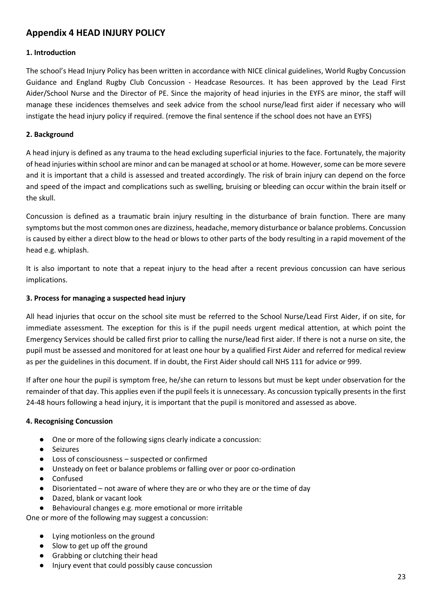## **Appendix 4 HEAD INJURY POLICY**

## **1. Introduction**

The school's Head Injury Policy has been written in accordance with NICE clinical guidelines, World Rugby Concussion Guidance and England Rugby Club Concussion - Headcase Resources. It has been approved by the Lead First Aider/School Nurse and the Director of PE. Since the majority of head injuries in the EYFS are minor, the staff will manage these incidences themselves and seek advice from the school nurse/lead first aider if necessary who will instigate the head injury policy if required. (remove the final sentence if the school does not have an EYFS)

#### **2. Background**

A head injury is defined as any trauma to the head excluding superficial injuries to the face. Fortunately, the majority of head injuries within school are minor and can be managed at school or at home. However, some can be more severe and it is important that a child is assessed and treated accordingly. The risk of brain injury can depend on the force and speed of the impact and complications such as swelling, bruising or bleeding can occur within the brain itself or the skull.

Concussion is defined as a traumatic brain injury resulting in the disturbance of brain function. There are many symptoms but the most common ones are dizziness, headache, memory disturbance or balance problems. Concussion is caused by either a direct blow to the head or blows to other parts of the body resulting in a rapid movement of the head e.g. whiplash.

It is also important to note that a repeat injury to the head after a recent previous concussion can have serious implications.

#### **3. Process for managing a suspected head injury**

All head injuries that occur on the school site must be referred to the School Nurse/Lead First Aider, if on site, for immediate assessment. The exception for this is if the pupil needs urgent medical attention, at which point the Emergency Services should be called first prior to calling the nurse/lead first aider. If there is not a nurse on site, the pupil must be assessed and monitored for at least one hour by a qualified First Aider and referred for medical review as per the guidelines in this document. If in doubt, the First Aider should call NHS 111 for advice or 999.

If after one hour the pupil is symptom free, he/she can return to lessons but must be kept under observation for the remainder of that day. This applies even if the pupil feels it is unnecessary. As concussion typically presents in the first 24-48 hours following a head injury, it is important that the pupil is monitored and assessed as above.

#### **4. Recognising Concussion**

- One or more of the following signs clearly indicate a concussion:
- Seizures
- Loss of consciousness suspected or confirmed
- Unsteady on feet or balance problems or falling over or poor co-ordination
- Confused
- Disorientated not aware of where they are or who they are or the time of day
- Dazed, blank or vacant look
- Behavioural changes e.g. more emotional or more irritable

One or more of the following may suggest a concussion:

- Lying motionless on the ground
- Slow to get up off the ground
- Grabbing or clutching their head
- Injury event that could possibly cause concussion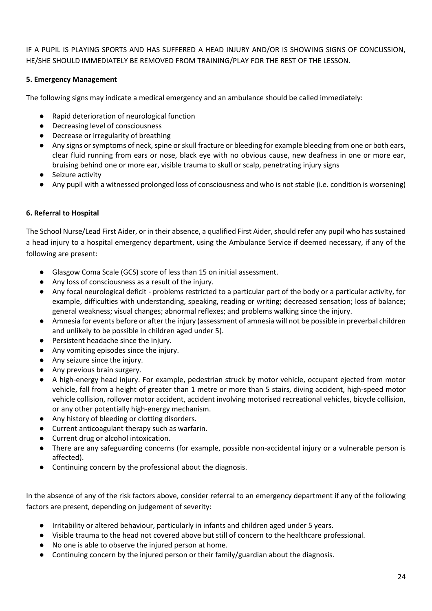IF A PUPIL IS PLAYING SPORTS AND HAS SUFFERED A HEAD INJURY AND/OR IS SHOWING SIGNS OF CONCUSSION, HE/SHE SHOULD IMMEDIATELY BE REMOVED FROM TRAINING/PLAY FOR THE REST OF THE LESSON.

### **5. Emergency Management**

The following signs may indicate a medical emergency and an ambulance should be called immediately:

- Rapid deterioration of neurological function
- Decreasing level of consciousness
- Decrease or irregularity of breathing
- Any signs or symptoms of neck, spine or skull fracture or bleeding for example bleeding from one or both ears, clear fluid running from ears or nose, black eye with no obvious cause, new deafness in one or more ear, bruising behind one or more ear, visible trauma to skull or scalp, penetrating injury signs
- Seizure activity
- Any pupil with a witnessed prolonged loss of consciousness and who is not stable (i.e. condition is worsening)

### **6. Referral to Hospital**

The School Nurse/Lead First Aider, or in their absence, a qualified First Aider, should refer any pupil who has sustained a head injury to a hospital emergency department, using the Ambulance Service if deemed necessary, if any of the following are present:

- Glasgow Coma Scale (GCS) score of less than 15 on initial assessment.
- Any loss of consciousness as a result of the injury.
- Any focal neurological deficit problems restricted to a particular part of the body or a particular activity, for example, difficulties with understanding, speaking, reading or writing; decreased sensation; loss of balance; general weakness; visual changes; abnormal reflexes; and problems walking since the injury.
- Amnesia for events before or after the injury (assessment of amnesia will not be possible in preverbal children and unlikely to be possible in children aged under 5).
- Persistent headache since the injury.
- Any vomiting episodes since the injury.
- Any seizure since the injury.
- Any previous brain surgery.
- A high-energy head injury. For example, pedestrian struck by motor vehicle, occupant ejected from motor vehicle, fall from a height of greater than 1 metre or more than 5 stairs, diving accident, high-speed motor vehicle collision, rollover motor accident, accident involving motorised recreational vehicles, bicycle collision, or any other potentially high-energy mechanism.
- Any history of bleeding or clotting disorders.
- Current anticoagulant therapy such as warfarin.
- Current drug or alcohol intoxication.
- There are any safeguarding concerns (for example, possible non-accidental injury or a vulnerable person is affected).
- Continuing concern by the professional about the diagnosis.

In the absence of any of the risk factors above, consider referral to an emergency department if any of the following factors are present, depending on judgement of severity:

- Irritability or altered behaviour, particularly in infants and children aged under 5 years.
- Visible trauma to the head not covered above but still of concern to the healthcare professional.
- No one is able to observe the injured person at home.
- Continuing concern by the injured person or their family/guardian about the diagnosis.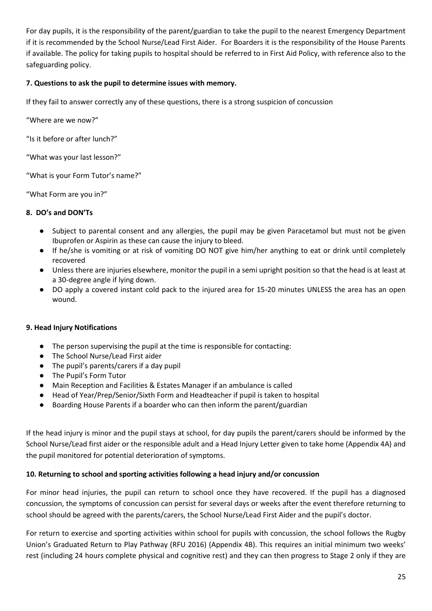For day pupils, it is the responsibility of the parent/guardian to take the pupil to the nearest Emergency Department if it is recommended by the School Nurse/Lead First Aider. For Boarders it is the responsibility of the House Parents if available. The policy for taking pupils to hospital should be referred to in First Aid Policy, with reference also to the safeguarding policy.

### **7. Questions to ask the pupil to determine issues with memory.**

If they fail to answer correctly any of these questions, there is a strong suspicion of concussion

"Where are we now?"

"Is it before or after lunch?"

"What was your last lesson?"

"What is your Form Tutor's name?"

"What Form are you in?"

### **8. DO's and DON'Ts**

- Subject to parental consent and any allergies, the pupil may be given Paracetamol but must not be given Ibuprofen or Aspirin as these can cause the injury to bleed.
- If he/she is vomiting or at risk of vomiting DO NOT give him/her anything to eat or drink until completely recovered
- Unless there are injuries elsewhere, monitor the pupil in a semi upright position so that the head is at least at a 30-degree angle if lying down.
- DO apply a covered instant cold pack to the injured area for 15-20 minutes UNLESS the area has an open wound.

#### **9. Head Injury Notifications**

- The person supervising the pupil at the time is responsible for contacting:
- The School Nurse/Lead First aider
- The pupil's parents/carers if a day pupil
- The Pupil's Form Tutor
- Main Reception and Facilities & Estates Manager if an ambulance is called
- Head of Year/Prep/Senior/Sixth Form and Headteacher if pupil is taken to hospital
- Boarding House Parents if a boarder who can then inform the parent/guardian

If the head injury is minor and the pupil stays at school, for day pupils the parent/carers should be informed by the School Nurse/Lead first aider or the responsible adult and a Head Injury Letter given to take home (Appendix 4A) and the pupil monitored for potential deterioration of symptoms.

#### **10. Returning to school and sporting activities following a head injury and/or concussion**

For minor head injuries, the pupil can return to school once they have recovered. If the pupil has a diagnosed concussion, the symptoms of concussion can persist for several days or weeks after the event therefore returning to school should be agreed with the parents/carers, the School Nurse/Lead First Aider and the pupil's doctor.

For return to exercise and sporting activities within school for pupils with concussion, the school follows the Rugby Union's Graduated Return to Play Pathway (RFU 2016) (Appendix 4B). This requires an initial minimum two weeks' rest (including 24 hours complete physical and cognitive rest) and they can then progress to Stage 2 only if they are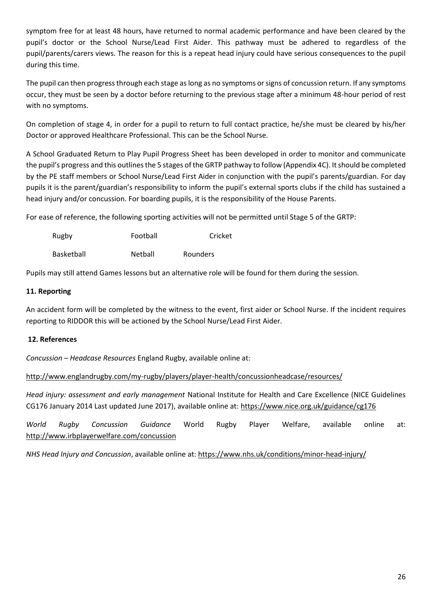symptom free for at least 48 hours, have returned to normal academic performance and have been cleared by the pupil's doctor or the School Nurse/Lead First Aider. This pathway must be adhered to regardless of the pupil/parents/carers views. The reason for this is a repeat head injury could have serious consequences to the pupil during this time.

The pupil can then progress through each stage as long as no symptoms or signs of concussion return. If any symptoms occur, they must be seen by a doctor before returning to the previous stage after a minimum 48-hour period of rest with no symptoms.

On completion of stage 4, in order for a pupil to return to full contact practice, he/she must be cleared by his/her Doctor or approved Healthcare Professional. This can be the School Nurse.

A School Graduated Return to Play Pupil Progress Sheet has been developed in order to monitor and communicate the pupil's progress and this outlines the 5 stages of the GRTP pathway to follow (Appendix 4C). It should be completed by the PE staff members or School Nurse/Lead First Aider in conjunction with the pupil's parents/guardian. For day pupils it is the parent/guardian's responsibility to inform the pupil's external sports clubs if the child has sustained a head injury and/or concussion. For boarding pupils, it is the responsibility of the House Parents.

For ease of reference, the following sporting activities will not be permitted until Stage 5 of the GRTP:

| Rugby | Football | Cricket |
|-------|----------|---------|
|       |          |         |

Basketball **Netball** Rounders

Pupils may still attend Games lessons but an alternative role will be found for them during the session.

### **11. Reporting**

An accident form will be completed by the witness to the event, first aider or School Nurse. If the incident requires reporting to RIDDOR this will be actioned by the School Nurse/Lead First Aider.

## **12. References**

*Concussion – Headcase Resources* England Rugby, available online at:

<http://www.englandrugby.com/my-rugby/players/player-health/concussionheadcase/resources/>

*Head injury: assessment and early management* National Institute for Health and Care Excellence (NICE Guidelines CG176 January 2014 Last updated June 2017), available online at:<https://www.nice.org.uk/guidance/cg176>

*World Rugby Concussion Guidance* World Rugby Player Welfare, available online at: <http://www.irbplayerwelfare.com/concussion>

*NHS Head Injury and Concussion*, available online at:<https://www.nhs.uk/conditions/minor-head-injury/>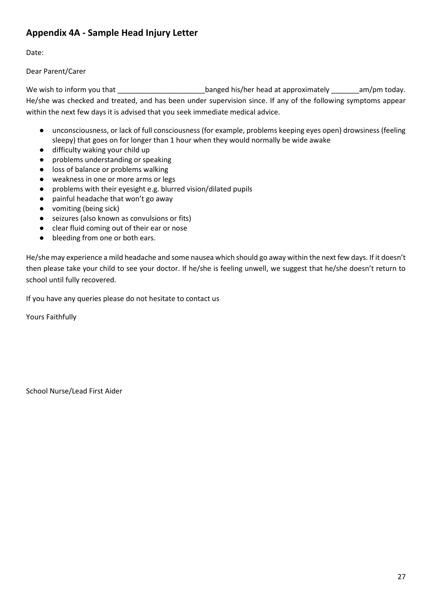# **Appendix 4A - Sample Head Injury Letter**

Date:

Dear Parent/Carer

We wish to inform you that \_\_\_\_\_\_\_\_\_\_\_\_\_\_\_\_\_\_\_\_\_\_\_\_\_\_banged his/her head at approximately \_\_\_\_\_\_\_\_am/pm today. He/she was checked and treated, and has been under supervision since. If any of the following symptoms appear within the next few days it is advised that you seek immediate medical advice.

- unconsciousness, or lack of full consciousness (for example, problems keeping eyes open) drowsiness (feeling sleepy) that goes on for longer than 1 hour when they would normally be wide awake
- difficulty waking your child up
- problems understanding or speaking
- loss of balance or problems walking
- weakness in one or more arms or legs
- problems with their eyesight e.g. blurred vision/dilated pupils
- painful headache that won't go away
- vomiting (being sick)
- seizures (also known as convulsions or fits)
- clear fluid coming out of their ear or nose
- bleeding from one or both ears.

He/she may experience a mild headache and some nausea which should go away within the next few days. If it doesn't then please take your child to see your doctor. If he/she is feeling unwell, we suggest that he/she doesn't return to school until fully recovered.

If you have any queries please do not hesitate to contact us

Yours Faithfully

School Nurse/Lead First Aider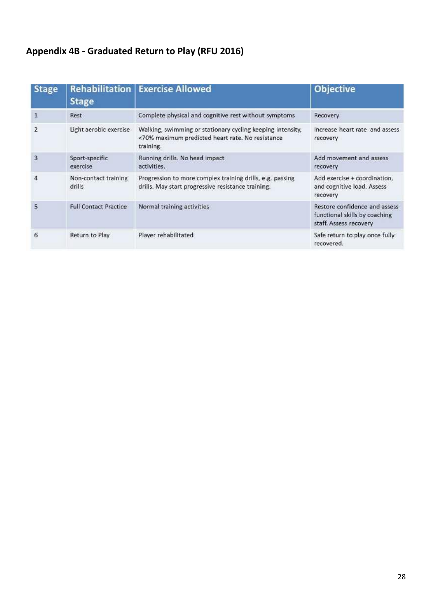# **Appendix 4B - Graduated Return to Play (RFU 2016)**

| <b>Stage</b> | <b>Rehabilitation</b><br><b>Stage</b> | <b>Exercise Allowed</b>                                                                                                     | Objective                                                                                |
|--------------|---------------------------------------|-----------------------------------------------------------------------------------------------------------------------------|------------------------------------------------------------------------------------------|
| 1            | Rest                                  | Complete physical and cognitive rest without symptoms                                                                       | Recovery                                                                                 |
| 2            | Light aerobic exercise                | Walking, swimming or stationary cycling keeping intensity,<br><70% maximum predicted heart rate. No resistance<br>training. | Increase heart rate and assess<br>recovery                                               |
| 3            | Sport-specific<br>exercise            | Running drills. No head impact<br>activities.                                                                               | Add movement and assess<br>recovery                                                      |
| 4            | Non-contact training<br>drills        | Progression to more complex training drills, e.g. passing<br>drills. May start progressive resistance training.             | Add exercise + coordination,<br>and cognitive load. Assess<br>recovery                   |
| 5            | <b>Full Contact Practice</b>          | Normal training activities                                                                                                  | Restore confidence and assess<br>functional skills by coaching<br>staff. Assess recovery |
| 6            | Return to Play                        | Player rehabilitated                                                                                                        | Safe return to play once fully<br>recovered.                                             |